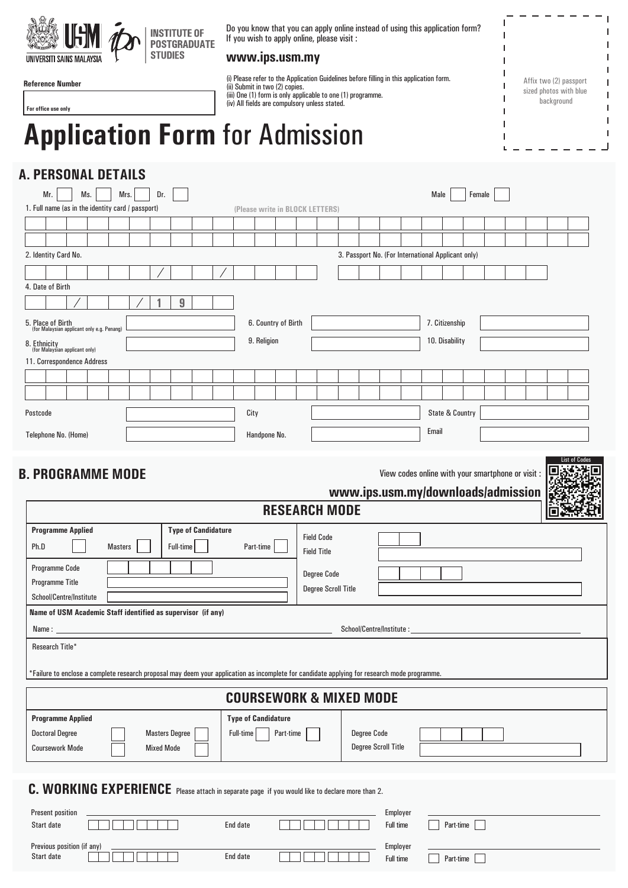

(ii) Submit in two (2) copies.

**Reference Number**

**For office use only** 

## **Application Form** for Admission

## **A. PERSONAL DETAILS**

Start date **End and Start date** 

| Mr.<br>Ms.                                                                                                                                                                                          | Mrs.           | Dr.                   |                            |  |  |                                    |           |                     |                                 |                                                  |                                                    |                            |          |  | Male                      |                            | Female |                                                   |  |  |  |
|-----------------------------------------------------------------------------------------------------------------------------------------------------------------------------------------------------|----------------|-----------------------|----------------------------|--|--|------------------------------------|-----------|---------------------|---------------------------------|--------------------------------------------------|----------------------------------------------------|----------------------------|----------|--|---------------------------|----------------------------|--------|---------------------------------------------------|--|--|--|
| 1. Full name (as in the identity card / passport)                                                                                                                                                   |                |                       |                            |  |  |                                    |           |                     | (Please write in BLOCK LETTERS) |                                                  |                                                    |                            |          |  |                           |                            |        |                                                   |  |  |  |
|                                                                                                                                                                                                     |                |                       |                            |  |  |                                    |           |                     |                                 |                                                  |                                                    |                            |          |  |                           |                            |        |                                                   |  |  |  |
| 2. Identity Card No.                                                                                                                                                                                |                |                       |                            |  |  |                                    |           |                     |                                 |                                                  | 3. Passport No. (For International Applicant only) |                            |          |  |                           |                            |        |                                                   |  |  |  |
|                                                                                                                                                                                                     |                |                       |                            |  |  |                                    |           |                     |                                 |                                                  |                                                    |                            |          |  |                           |                            |        |                                                   |  |  |  |
| 4. Date of Birth                                                                                                                                                                                    |                |                       |                            |  |  |                                    |           |                     |                                 |                                                  |                                                    |                            |          |  |                           |                            |        |                                                   |  |  |  |
|                                                                                                                                                                                                     |                |                       | 9                          |  |  |                                    |           |                     |                                 |                                                  |                                                    |                            |          |  |                           |                            |        |                                                   |  |  |  |
| 5. Place of Birth<br>(for Malaysian applicant only e.g. Penang)                                                                                                                                     |                |                       |                            |  |  |                                    |           | 6. Country of Birth |                                 |                                                  |                                                    |                            |          |  |                           | 7. Citizenship             |        |                                                   |  |  |  |
|                                                                                                                                                                                                     |                |                       | 9. Religion                |  |  |                                    |           |                     | 10. Disability                  |                                                  |                                                    |                            |          |  |                           |                            |        |                                                   |  |  |  |
| 8. Ethnicity<br>(for Malaysian applicant only)<br>11. Correspondence Address                                                                                                                        |                |                       |                            |  |  |                                    |           |                     |                                 |                                                  |                                                    |                            |          |  |                           |                            |        |                                                   |  |  |  |
|                                                                                                                                                                                                     |                |                       |                            |  |  |                                    |           |                     |                                 |                                                  |                                                    |                            |          |  |                           |                            |        |                                                   |  |  |  |
|                                                                                                                                                                                                     |                |                       |                            |  |  |                                    |           |                     |                                 |                                                  |                                                    |                            |          |  |                           |                            |        |                                                   |  |  |  |
| Postcode                                                                                                                                                                                            |                |                       |                            |  |  | City                               |           |                     |                                 |                                                  |                                                    |                            |          |  |                           | <b>State &amp; Country</b> |        |                                                   |  |  |  |
|                                                                                                                                                                                                     |                |                       |                            |  |  | Handpone No.                       |           |                     |                                 |                                                  |                                                    |                            |          |  | Email                     |                            |        |                                                   |  |  |  |
| Telephone No. (Home)                                                                                                                                                                                |                |                       |                            |  |  |                                    |           |                     |                                 |                                                  |                                                    |                            |          |  |                           |                            |        |                                                   |  |  |  |
|                                                                                                                                                                                                     |                |                       |                            |  |  |                                    |           |                     |                                 |                                                  | www.ips.usm.my/downloads/admission                 |                            |          |  |                           |                            |        | View codes online with your smartphone or visit : |  |  |  |
| <b>B. PROGRAMME MODE</b>                                                                                                                                                                            |                |                       |                            |  |  |                                    |           |                     | <b>RESEARCH MODE</b>            |                                                  |                                                    |                            |          |  |                           |                            |        |                                                   |  |  |  |
|                                                                                                                                                                                                     |                |                       | <b>Type of Candidature</b> |  |  |                                    |           |                     |                                 | <b>Field Code</b>                                |                                                    |                            |          |  |                           |                            |        |                                                   |  |  |  |
|                                                                                                                                                                                                     | <b>Masters</b> |                       | Full-time                  |  |  |                                    | Part-time |                     |                                 | <b>Field Title</b>                               |                                                    |                            |          |  |                           |                            |        |                                                   |  |  |  |
|                                                                                                                                                                                                     |                |                       |                            |  |  |                                    |           |                     |                                 |                                                  |                                                    |                            |          |  |                           |                            |        |                                                   |  |  |  |
|                                                                                                                                                                                                     |                |                       |                            |  |  |                                    |           |                     |                                 | <b>Degree Code</b><br><b>Degree Scroll Title</b> |                                                    |                            |          |  |                           |                            |        |                                                   |  |  |  |
|                                                                                                                                                                                                     |                |                       |                            |  |  |                                    |           |                     |                                 |                                                  |                                                    |                            |          |  |                           |                            |        |                                                   |  |  |  |
|                                                                                                                                                                                                     |                |                       |                            |  |  |                                    |           |                     |                                 |                                                  |                                                    |                            |          |  |                           |                            |        |                                                   |  |  |  |
|                                                                                                                                                                                                     |                |                       |                            |  |  |                                    |           |                     |                                 |                                                  |                                                    |                            |          |  | School/Centre/Institute : |                            |        |                                                   |  |  |  |
| <b>Programme Applied</b><br>Ph.D<br>Programme Code<br>Programme Title<br>School/Centre/Institute<br>Name of USM Academic Staff identified as supervisor (if any)<br>Name : _____<br>Research Title* |                |                       |                            |  |  |                                    |           |                     |                                 |                                                  |                                                    |                            |          |  |                           |                            |        |                                                   |  |  |  |
| *Failure to enclose a complete research proposal may deem your application as incomplete for candidate applying for research mode programme.                                                        |                |                       |                            |  |  |                                    |           |                     |                                 |                                                  |                                                    |                            |          |  |                           |                            |        |                                                   |  |  |  |
|                                                                                                                                                                                                     |                |                       |                            |  |  | <b>COURSEWORK &amp; MIXED MODE</b> |           |                     |                                 |                                                  |                                                    |                            |          |  |                           |                            |        |                                                   |  |  |  |
| <b>Programme Applied</b>                                                                                                                                                                            |                |                       |                            |  |  | <b>Type of Candidature</b>         |           |                     |                                 |                                                  |                                                    |                            |          |  |                           |                            |        |                                                   |  |  |  |
| <b>Doctoral Degree</b>                                                                                                                                                                              |                | <b>Masters Degree</b> |                            |  |  | Full-time                          |           | Part-time           |                                 |                                                  |                                                    | <b>Degree Code</b>         |          |  |                           |                            |        |                                                   |  |  |  |
| <b>Coursework Mode</b>                                                                                                                                                                              |                | <b>Mixed Mode</b>     |                            |  |  |                                    |           |                     |                                 |                                                  |                                                    | <b>Degree Scroll Title</b> |          |  |                           |                            |        |                                                   |  |  |  |
|                                                                                                                                                                                                     |                |                       |                            |  |  |                                    |           |                     |                                 |                                                  |                                                    |                            |          |  |                           |                            |        |                                                   |  |  |  |
|                                                                                                                                                                                                     |                |                       |                            |  |  |                                    |           |                     |                                 |                                                  |                                                    |                            |          |  |                           |                            |        |                                                   |  |  |  |
| C. WORKING EXPERIENCE Please attach in separate page if you would like to declare more than 2.<br><b>Present position</b>                                                                           |                |                       |                            |  |  |                                    |           |                     |                                 |                                                  |                                                    |                            | Employer |  |                           |                            |        |                                                   |  |  |  |

Full time **Part-time** 

Previous position (if any)<br>Start date <del>Proposition (if any )</del> Employer<br>Start date Proposition of the End date Proposition of the End date

(i) Please refer to the Application Guidelines before filling in this application form.

(iii) One (1) form is only applicable to one (1) programme. (iv) All fields are compulsory unless stated.

Affix two (2) passport sized photos with blue background